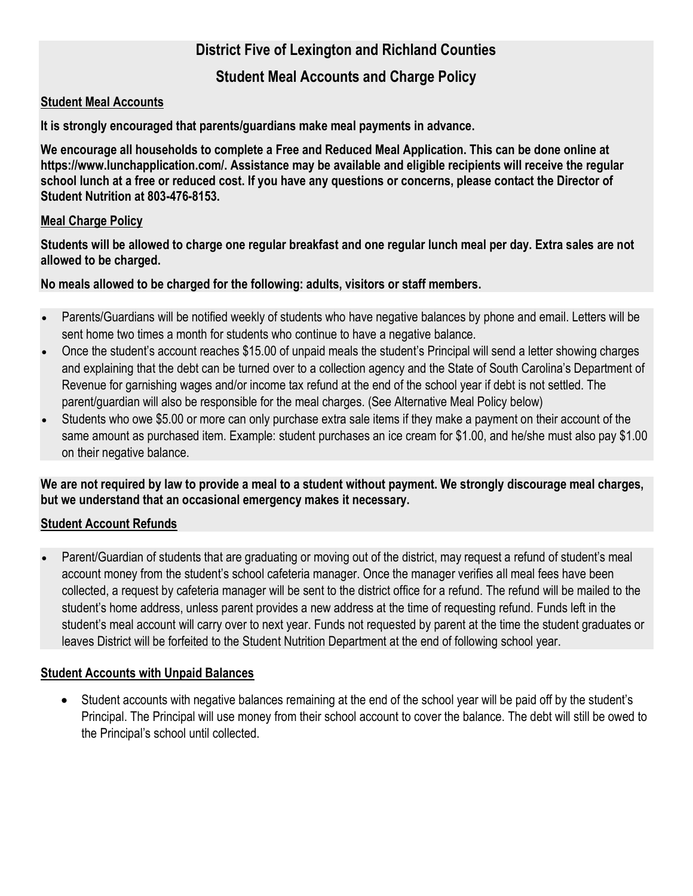## District Five of Lexington and Richland Counties

### Student Meal Accounts and Charge Policy

#### Student Meal Accounts

It is strongly encouraged that parents/guardians make meal payments in advance.

We encourage all households to complete a Free and Reduced Meal Application. This can be done online at https://www.lunchapplication.com/. Assistance may be available and eligible recipients will receive the regular school lunch at a free or reduced cost. If you have any questions or concerns, please contact the Director of Student Nutrition at 803-476-8153.

#### Meal Charge Policy

Students will be allowed to charge one regular breakfast and one regular lunch meal per day. Extra sales are not allowed to be charged.

#### No meals allowed to be charged for the following: adults, visitors or staff members.

- Parents/Guardians will be notified weekly of students who have negative balances by phone and email. Letters will be sent home two times a month for students who continue to have a negative balance.
- Once the student's account reaches \$15.00 of unpaid meals the student's Principal will send a letter showing charges and explaining that the debt can be turned over to a collection agency and the State of South Carolina's Department of Revenue for garnishing wages and/or income tax refund at the end of the school year if debt is not settled. The parent/guardian will also be responsible for the meal charges. (See Alternative Meal Policy below)
- Students who owe \$5.00 or more can only purchase extra sale items if they make a payment on their account of the same amount as purchased item. Example: student purchases an ice cream for \$1.00, and he/she must also pay \$1.00 on their negative balance.

We are not required by law to provide a meal to a student without payment. We strongly discourage meal charges, but we understand that an occasional emergency makes it necessary.

#### Student Account Refunds

 Parent/Guardian of students that are graduating or moving out of the district, may request a refund of student's meal account money from the student's school cafeteria manager. Once the manager verifies all meal fees have been collected, a request by cafeteria manager will be sent to the district office for a refund. The refund will be mailed to the student's home address, unless parent provides a new address at the time of requesting refund. Funds left in the student's meal account will carry over to next year. Funds not requested by parent at the time the student graduates or leaves District will be forfeited to the Student Nutrition Department at the end of following school year.

#### Student Accounts with Unpaid Balances

 Student accounts with negative balances remaining at the end of the school year will be paid off by the student's Principal. The Principal will use money from their school account to cover the balance. The debt will still be owed to the Principal's school until collected.